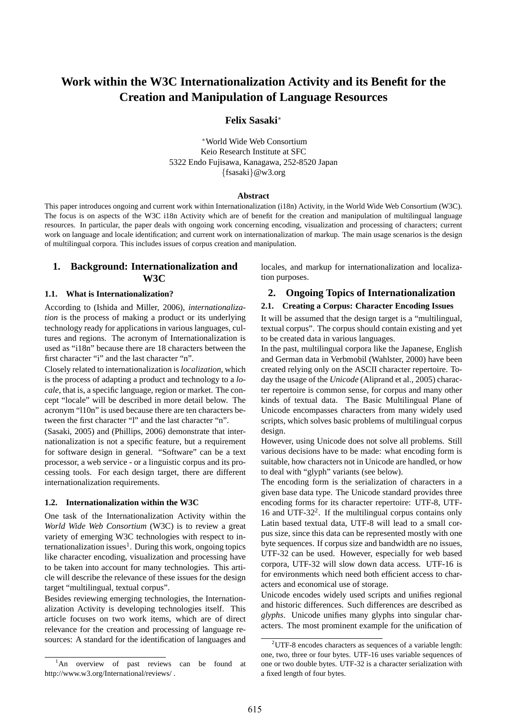# **Work within the W3C Internationalization Activity and its Benefit for the Creation and Manipulation of Language Resources**

### **Felix Sasaki**<sup>∗</sup>

<sup>∗</sup>World Wide Web Consortium Keio Research Institute at SFC 5322 Endo Fujisawa, Kanagawa, 252-8520 Japan {fsasaki}@w3.org

#### **Abstract**

This paper introduces ongoing and current work within Internationalization (i18n) Activity, in the World Wide Web Consortium (W3C). The focus is on aspects of the W3C i18n Activity which are of benefit for the creation and manipulation of multilingual language resources. In particular, the paper deals with ongoing work concerning encoding, visualization and processing of characters; current work on language and locale identification; and current work on internationalization of markup. The main usage scenarios is the design of multilingual corpora. This includes issues of corpus creation and manipulation.

# **1. Background: Internationalization and W3C**

### **1.1. What is Internationalization?**

According to (Ishida and Miller, 2006), *internationalization* is the process of making a product or its underlying technology ready for applications in various languages, cultures and regions. The acronym of Internationalization is used as "i18n" because there are 18 characters between the first character "i" and the last character "n".

Closely related to internationalization is*localization*, which is the process of adapting a product and technology to a *locale*, that is, a specific language, region or market. The concept "locale" will be described in more detail below. The acronym "l10n" is used because there are ten characters between the first character "l" and the last character "n".

(Sasaki, 2005) and (Phillips, 2006) demonstrate that internationalization is not a specific feature, but a requirement for software design in general. "Software" can be a text processor, a web service - or a linguistic corpus and its processing tools. For each design target, there are different internationalization requirements.

#### **1.2. Internationalization within the W3C**

One task of the Internationalization Activity within the *World Wide Web Consortium* (W3C) is to review a great variety of emerging W3C technologies with respect to internationalization issues<sup>1</sup>. During this work, ongoing topics like character encoding, visualization and processing have to be taken into account for many technologies. This article will describe the relevance of these issues for the design target "multilingual, textual corpus".

Besides reviewing emerging technologies, the Internationalization Activity is developing technologies itself. This article focuses on two work items, which are of direct relevance for the creation and processing of language resources: A standard for the identification of languages and

<sup>1</sup>An overview of past reviews can be found at http://www.w3.org/International/reviews/ .

locales, and markup for internationalization and localization purposes.

## **2. Ongoing Topics of Internationalization**

# **2.1. Creating a Corpus: Character Encoding Issues**

It will be assumed that the design target is a "multilingual, textual corpus". The corpus should contain existing and yet to be created data in various languages.

In the past, multilingual corpora like the Japanese, English and German data in Verbmobil (Wahlster, 2000) have been created relying only on the ASCII character repertoire. Today the usage of the *Unicode* (Aliprand et al., 2005) character repertoire is common sense, for corpus and many other kinds of textual data. The Basic Multilingual Plane of Unicode encompasses characters from many widely used scripts, which solves basic problems of multilingual corpus design.

However, using Unicode does not solve all problems. Still various decisions have to be made: what encoding form is suitable, how characters not in Unicode are handled, or how to deal with "glyph" variants (see below).

The encoding form is the serialization of characters in a given base data type. The Unicode standard provides three encoding forms for its character repertoire: UTF-8, UTF-16 and UTF-32<sup>2</sup> . If the multilingual corpus contains only Latin based textual data, UTF-8 will lead to a small corpus size, since this data can be represented mostly with one byte sequences. If corpus size and bandwidth are no issues, UTF-32 can be used. However, especially for web based corpora, UTF-32 will slow down data access. UTF-16 is for environments which need both efficient access to characters and economical use of storage.

Unicode encodes widely used scripts and unifies regional and historic differences. Such differences are described as *glyphs*. Unicode unifies many glyphs into singular characters. The most prominent example for the unification of

<sup>2</sup>UTF-8 encodes characters as sequences of a variable length: one, two, three or four bytes. UTF-16 uses variable sequences of one or two double bytes. UTF-32 is a character serialization with a fixed length of four bytes.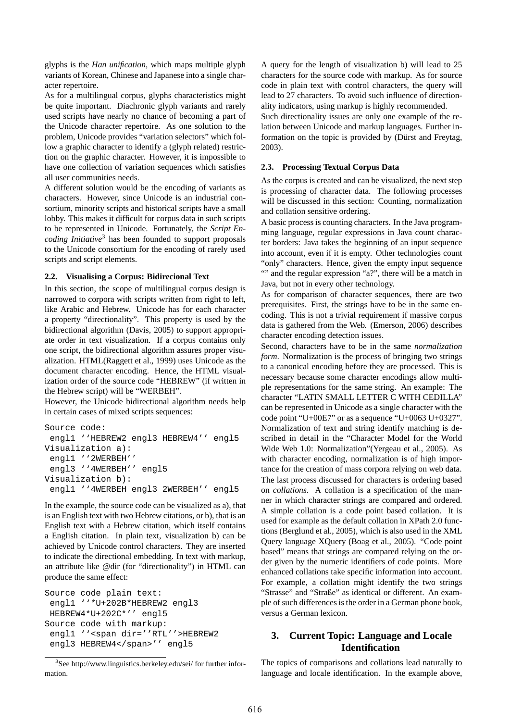glyphs is the *Han unification*, which maps multiple glyph variants of Korean, Chinese and Japanese into a single character repertoire.

As for a multilingual corpus, glyphs characteristics might be quite important. Diachronic glyph variants and rarely used scripts have nearly no chance of becoming a part of the Unicode character repertoire. As one solution to the problem, Unicode provides "variation selectors" which follow a graphic character to identify a (glyph related) restriction on the graphic character. However, it is impossible to have one collection of variation sequences which satisfies all user communities needs.

A different solution would be the encoding of variants as characters. However, since Unicode is an industrial consortium, minority scripts and historical scripts have a small lobby. This makes it difficult for corpus data in such scripts to be represented in Unicode. Fortunately, the *Script Encoding Initiative*<sup>3</sup> has been founded to support proposals to the Unicode consortium for the encoding of rarely used scripts and script elements.

### **2.2. Visualising a Corpus: Bidirecional Text**

In this section, the scope of multilingual corpus design is narrowed to corpora with scripts written from right to left, like Arabic and Hebrew. Unicode has for each character a property "directionality". This property is used by the bidirectional algorithm (Davis, 2005) to support appropriate order in text visualization. If a corpus contains only one script, the bidirectional algorithm assures proper visualization. HTML(Raggett et al., 1999) uses Unicode as the document character encoding. Hence, the HTML visualization order of the source code "HEBREW" (if written in the Hebrew script) will be "WERBEH".

However, the Unicode bidirectional algorithm needs help in certain cases of mixed scripts sequences:

```
Source code:
 engl1 ''HEBREW2 engl3 HEBREW4'' engl5
Visualization a):
 engl1 ''2WERBEH''
 engl3 ''4WERBEH'' engl5
Visualization b):
 engl1 ''4WERBEH engl3 2WERBEH'' engl5
```
In the example, the source code can be visualized as a), that is an English text with two Hebrew citations, or b), that is an English text with a Hebrew citation, which itself contains a English citation. In plain text, visualization b) can be achieved by Unicode control characters. They are inserted to indicate the directional embedding. In text with markup, an attribute like @dir (for "directionality") in HTML can produce the same effect:

```
Source code plain text:
 engl1 ''*U+202B*HEBREW2 engl3
 HEBREW4*U+202C*'' engl5
Source code with markup:
 engl1 ''<span dir=''RTL''>HEBREW2
 engl3 HEBREW4</span>'' engl5
```

```
3
See http://www.linguistics.berkeley.edu/sei/ for further infor-
mation.
```
A query for the length of visualization b) will lead to 25 characters for the source code with markup. As for source code in plain text with control characters, the query will lead to 27 characters. To avoid such influence of directionality indicators, using markup is highly recommended.

Such directionality issues are only one example of the relation between Unicode and markup languages. Further information on the topic is provided by (Dürst and Freytag, 2003).

### **2.3. Processing Textual Corpus Data**

As the corpus is created and can be visualized, the next step is processing of character data. The following processes will be discussed in this section: Counting, normalization and collation sensitive ordering.

A basic process is counting characters. In the Java programming language, regular expressions in Java count character borders: Java takes the beginning of an input sequence into account, even if it is empty. Other technologies count "only" characters. Hence, given the empty input sequence "" and the regular expression "a?", there will be a match in Java, but not in every other technology.

As for comparison of character sequences, there are two prerequisites. First, the strings have to be in the same encoding. This is not a trivial requirement if massive corpus data is gathered from the Web. (Emerson, 2006) describes character encoding detection issues.

Second, characters have to be in the same *normalization form*. Normalization is the process of bringing two strings to a canonical encoding before they are processed. This is necessary because some character encodings allow multiple representations for the same string. An example: The character "LATIN SMALL LETTER C WITH CEDILLA" can be represented in Unicode as a single character with the code point "U+00E7" or as a sequence "U+0063 U+0327". Normalization of text and string identify matching is described in detail in the "Character Model for the World Wide Web 1.0: Normalization"(Yergeau et al., 2005). As with character encoding, normalization is of high importance for the creation of mass corpora relying on web data. The last process discussed for characters is ordering based on *collations*. A collation is a specification of the manner in which character strings are compared and ordered. A simple collation is a code point based collation. It is used for example as the default collation in XPath 2.0 functions (Berglund et al., 2005), which is also used in the XML Query language XQuery (Boag et al., 2005). "Code point based" means that strings are compared relying on the order given by the numeric identifiers of code points. More enhanced collations take specific information into account. For example, a collation might identify the two strings "Strasse" and "Straße" as identical or different. An example of such differences is the order in a German phone book, versus a German lexicon.

# **3. Current Topic: Language and Locale Identification**

The topics of comparisons and collations lead naturally to language and locale identification. In the example above,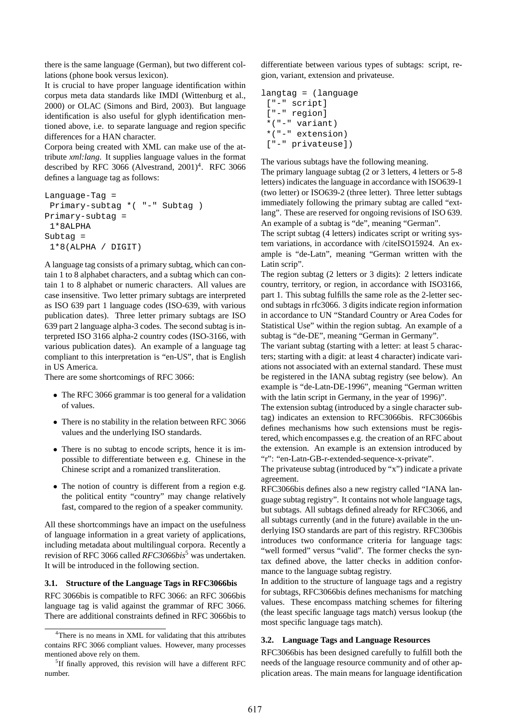there is the same language (German), but two different collations (phone book versus lexicon).

It is crucial to have proper language identification within corpus meta data standards like IMDI (Wittenburg et al., 2000) or OLAC (Simons and Bird, 2003). But language identification is also useful for glyph identification mentioned above, i.e. to separate language and region specific differences for a HAN character.

Corpora being created with XML can make use of the attribute *xml:lang*. It supplies language values in the format described by RFC 3066 (Alvestrand,  $2001$ <sup>4</sup>. RFC 3066 defines a language tag as follows:

```
Language-Tag =
 Primary-subtag *( "-" Subtag )
Primary-subtag =
 1*8ALPHA
Subtag =
 1*8(ALPHA / DIGIT)
```
A language tag consists of a primary subtag, which can contain 1 to 8 alphabet characters, and a subtag which can contain 1 to 8 alphabet or numeric characters. All values are case insensitive. Two letter primary subtags are interpreted as ISO 639 part 1 language codes (ISO-639, with various publication dates). Three letter primary subtags are ISO 639 part 2 language alpha-3 codes. The second subtag is interpreted ISO 3166 alpha-2 country codes (ISO-3166, with various publication dates). An example of a language tag compliant to this interpretation is "en-US", that is English in US America.

There are some shortcomings of RFC 3066:

- The RFC 3066 grammar is too general for a validation of values.
- There is no stability in the relation between RFC 3066 values and the underlying ISO standards.
- There is no subtag to encode scripts, hence it is impossible to differentiate between e.g. Chinese in the Chinese script and a romanized transliteration.
- The notion of country is different from a region e.g. the political entity "country" may change relatively fast, compared to the region of a speaker community.

All these shortcommings have an impact on the usefulness of language information in a great variety of applications, including metadata about multilingual corpora. Recently a revision of RFC 3066 called *RFC3066bis*<sup>5</sup> was undertaken. It will be introduced in the following section.

#### **3.1. Structure of the Language Tags in RFC3066bis**

RFC 3066bis is compatible to RFC 3066: an RFC 3066bis language tag is valid against the grammar of RFC 3066. There are additional constraints defined in RFC 3066bis to differentiate between various types of subtags: script, region, variant, extension and privateuse.

```
langtag = (language
 ["-" script]
 ["-" region]
 *("-" variant)
 *("-" extension)
 ["-" privateuse])
```
The various subtags have the following meaning.

The primary language subtag (2 or 3 letters, 4 letters or 5-8 letters) indicates the language in accordance with ISO639-1 (two letter) or ISO639-2 (three letter). Three letter subtags immediately following the primary subtag are called "extlang". These are reserved for ongoing revisions of ISO 639. An example of a subtag is "de", meaning "German".

The script subtag (4 letters) indicates script or writing system variations, in accordance with /citeISO15924. An example is "de-Latn", meaning "German written with the Latin scrip".

The region subtag (2 letters or 3 digits): 2 letters indicate country, territory, or region, in accordance with ISO3166, part 1. This subtag fulfills the same role as the 2-letter second subtags in rfc3066. 3 digits indicate region information in accordance to UN "Standard Country or Area Codes for Statistical Use" within the region subtag. An example of a subtag is "de-DE", meaning "German in Germany".

The variant subtag (starting with a letter: at least 5 characters; starting with a digit: at least 4 character) indicate variations not associated with an external standard. These must be registered in the IANA subtag registry (see below). An example is "de-Latn-DE-1996", meaning "German written with the latin script in Germany, in the year of 1996)".

The extension subtag (introduced by a single character subtag) indicates an extension to RFC3066bis. RFC3066bis defines mechanisms how such extensions must be registered, which encompasses e.g. the creation of an RFC about the extension. An example is an extension introduced by "r": "en-Latn-GB-r-extended-sequence-x-private".

The privateuse subtag (introduced by "x") indicate a private agreement.

RFC3066bis defines also a new registry called "IANA language subtag registry". It contains not whole language tags, but subtags. All subtags defined already for RFC3066, and all subtags currently (and in the future) available in the underlying ISO standards are part of this registry. RFC306bis introduces two conformance criteria for language tags: "well formed" versus "valid". The former checks the syntax defined above, the latter checks in addition conformance to the language subtag registry.

In addition to the structure of language tags and a registry for subtags, RFC3066bis defines mechanisms for matching values. These encompass matching schemes for filtering (the least specific language tags match) versus lookup (the most specific language tags match).

### **3.2. Language Tags and Language Resources**

RFC3066bis has been designed carefully to fulfill both the needs of the language resource community and of other application areas. The main means for language identification

<sup>&</sup>lt;sup>4</sup>There is no means in XML for validating that this attributes contains RFC 3066 compliant values. However, many processes mentioned above rely on them.

<sup>&</sup>lt;sup>5</sup>If finally approved, this revision will have a different RFC number.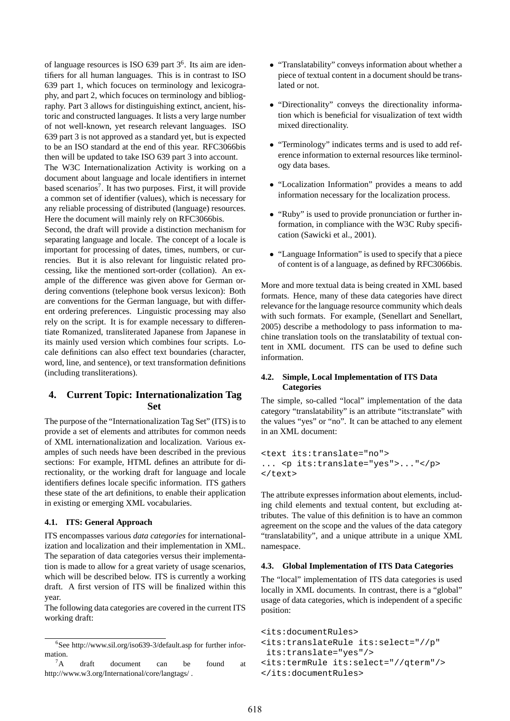of language resources is ISO 639 part 3<sup>6</sup>. Its aim are identifiers for all human languages. This is in contrast to ISO 639 part 1, which focuces on terminology and lexicography, and part 2, which focuces on terminology and bibliography. Part 3 allows for distinguishing extinct, ancient, historic and constructed languages. It lists a very large number of not well-known, yet research relevant languages. ISO 639 part 3 is not approved as a standard yet, but is expected to be an ISO standard at the end of this year. RFC3066bis then will be updated to take ISO 639 part 3 into account.

The W3C Internationalization Activity is working on a document about language and locale identifiers in internet based scenarios<sup>7</sup>. It has two purposes. First, it will provide a common set of identifier (values), which is necessary for any reliable processing of distributed (language) resources. Here the document will mainly rely on RFC3066bis.

Second, the draft will provide a distinction mechanism for separating language and locale. The concept of a locale is important for processing of dates, times, numbers, or currencies. But it is also relevant for linguistic related processing, like the mentioned sort-order (collation). An example of the difference was given above for German ordering conventions (telephone book versus lexicon): Both are conventions for the German language, but with different ordering preferences. Linguistic processing may also rely on the script. It is for example necessary to differentiate Romanized, transliterated Japanese from Japanese in its mainly used version which combines four scripts. Locale definitions can also effect text boundaries (character, word, line, and sentence), or text transformation definitions (including transliterations).

# **4. Current Topic: Internationalization Tag Set**

The purpose of the "Internationalization Tag Set" (ITS) is to provide a set of elements and attributes for common needs of XML internationalization and localization. Various examples of such needs have been described in the previous sections: For example, HTML defines an attribute for directionality, or the working draft for language and locale identifiers defines locale specific information. ITS gathers these state of the art definitions, to enable their application in existing or emerging XML vocabularies.

#### **4.1. ITS: General Approach**

ITS encompasses various *data categories* for internationalization and localization and their implementation in XML. The separation of data categories versus their implementation is made to allow for a great variety of usage scenarios, which will be described below. ITS is currently a working draft. A first version of ITS will be finalized within this year.

The following data categories are covered in the current ITS working draft:

- "Translatability" conveys information about whether a piece of textual content in a document should be translated or not.
- "Directionality" conveys the directionality information which is beneficial for visualization of text width mixed directionality.
- "Terminology" indicates terms and is used to add reference information to external resources like terminology data bases.
- "Localization Information" provides a means to add information necessary for the localization process.
- "Ruby" is used to provide pronunciation or further information, in compliance with the W3C Ruby specification (Sawicki et al., 2001).
- "Language Information" is used to specify that a piece of content is of a language, as defined by RFC3066bis.

More and more textual data is being created in XML based formats. Hence, many of these data categories have direct relevance for the language resource community which deals with such formats. For example, (Senellart and Senellart, 2005) describe a methodology to pass information to machine translation tools on the translatability of textual content in XML document. ITS can be used to define such information.

### **4.2. Simple, Local Implementation of ITS Data Categories**

The simple, so-called "local" implementation of the data category "translatability" is an attribute "its:translate" with the values "yes" or "no". It can be attached to any element in an XML document:

```
<text its:translate="no">
... <p its:translate="yes">..."</p>
</text>
```
The attribute expresses information about elements, including child elements and textual content, but excluding attributes. The value of this definition is to have an common agreement on the scope and the values of the data category "translatability", and a unique attribute in a unique XML namespace.

### **4.3. Global Implementation of ITS Data Categories**

The "local" implementation of ITS data categories is used locally in XML documents. In contrast, there is a "global" usage of data categories, which is independent of a specific position:

```
<its:documentRules>
<its:translateRule its:select="//p"
its:translate="yes"/>
<its:termRule its:select="//qterm"/>
</its:documentRules>
```
<sup>6</sup> See http://www.sil.org/iso639-3/default.asp for further information.

 ${}^{7}$ A draft document can be found at http://www.w3.org/International/core/langtags/ .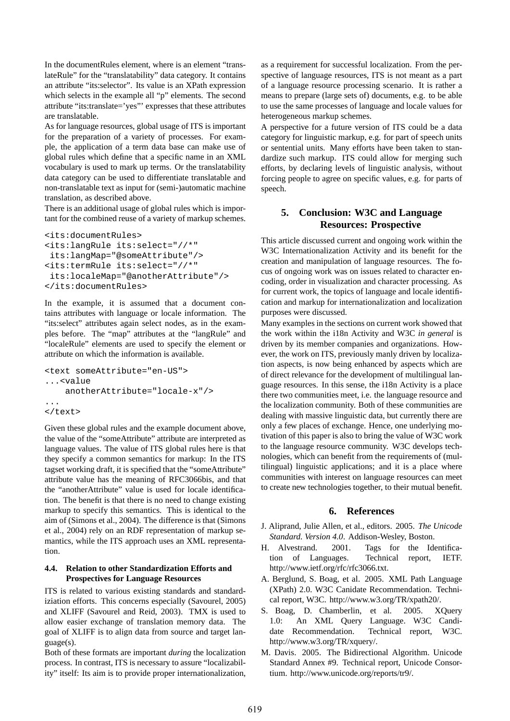In the documentRules element, where is an element "translateRule" for the "translatability" data category. It contains an attribute "its:selector". Its value is an XPath expression which selects in the example all "p" elements. The second attribute "its:translate='yes"' expresses that these attributes are translatable.

As for language resources, global usage of ITS is important for the preparation of a variety of processes. For example, the application of a term data base can make use of global rules which define that a specific name in an XML vocabulary is used to mark up terms. Or the translatability data category can be used to differentiate translatable and non-translatable text as input for (semi-)automatic machine translation, as described above.

There is an additional usage of global rules which is important for the combined reuse of a variety of markup schemes.

```
<its:documentRules>
<its:langRule its:select="//*"
 its:langMap="@someAttribute"/>
<its:termRule its:select="//*"
 its:localeMap="@anotherAttribute"/>
</its:documentRules>
```
In the example, it is assumed that a document contains attributes with language or locale information. The "its:select" attributes again select nodes, as in the examples before. The "map" attributes at the "langRule" and "localeRule" elements are used to specify the element or attribute on which the information is available.

```
<text someAttribute="en-US">
...<value
    anotherAttribute="locale-x"/>
...
\langletext>
```
Given these global rules and the example document above, the value of the "someAttribute" attribute are interpreted as language values. The value of ITS global rules here is that they specify a common semantics for markup: In the ITS tagset working draft, it is specified that the "someAttribute" attribute value has the meaning of RFC3066bis, and that the "anotherAttribute" value is used for locale identification. The benefit is that there is no need to change existing markup to specify this semantics. This is identical to the aim of (Simons et al., 2004). The difference is that (Simons et al., 2004) rely on an RDF representation of markup semantics, while the ITS approach uses an XML representation.

### **4.4. Relation to other Standardization Efforts and Prospectives for Language Resources**

ITS is related to various existing standards and standardiziation efforts. This concerns especially (Savourel, 2005) and XLIFF (Savourel and Reid, 2003). TMX is used to allow easier exchange of translation memory data. The goal of XLIFF is to align data from source and target language(s).

Both of these formats are important *during* the localization process. In contrast, ITS is necessary to assure "localizability" itself: Its aim is to provide proper internationalization, as a requirement for successful localization. From the perspective of language resources, ITS is not meant as a part of a language resource processing scenario. It is rather a means to prepare (large sets of) documents, e.g. to be able to use the same processes of language and locale values for heterogeneous markup schemes.

A perspective for a future version of ITS could be a data category for linguistic markup, e.g. for part of speech units or sentential units. Many efforts have been taken to standardize such markup. ITS could allow for merging such efforts, by declaring levels of linguistic analysis, without forcing people to agree on specific values, e.g. for parts of speech.

# **5. Conclusion: W3C and Language Resources: Prospective**

This article discussed current and ongoing work within the W3C Internationalization Activity and its benefit for the creation and manipulation of language resources. The focus of ongoing work was on issues related to character encoding, order in visualization and character processing. As for current work, the topics of language and locale identification and markup for internationalization and localization purposes were discussed.

Many examples in the sections on current work showed that the work within the i18n Activity and W3C *in general* is driven by its member companies and organizations. However, the work on ITS, previously manly driven by localization aspects, is now being enhanced by aspects which are of direct relevance for the development of multilingual language resources. In this sense, the i18n Activity is a place there two communities meet, i.e. the language resource and the localization community. Both of these communities are dealing with massive linguistic data, but currently there are only a few places of exchange. Hence, one underlying motivation of this paper is also to bring the value of W3C work to the language resource community. W3C develops technologies, which can benefit from the requirements of (multilingual) linguistic applications; and it is a place where communities with interest on language resources can meet to create new technologies together, to their mutual benefit.

# **6. References**

- J. Aliprand, Julie Allen, et al., editors. 2005. *The Unicode Standard. Version 4.0*. Addison-Wesley, Boston.
- H. Alvestrand. 2001. Tags for the Identification of Languages. Technical report, IETF. http://www.ietf.org/rfc/rfc3066.txt.
- A. Berglund, S. Boag, et al. 2005. XML Path Language (XPath) 2.0. W3C Canidate Recommendation. Technical report, W3C. http://www.w3.org/TR/xpath20/.
- S. Boag, D. Chamberlin, et al. 2005. XQuery 1.0: An XML Query Language. W3C Candidate Recommendation. Technical report, W3C. http://www.w3.org/TR/xquery/.
- M. Davis. 2005. The Bidirectional Algorithm. Unicode Standard Annex #9. Technical report, Unicode Consortium. http://www.unicode.org/reports/tr9/.